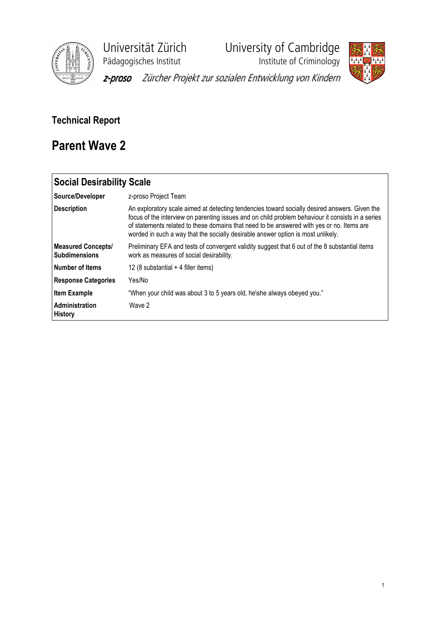

Universität Zürich University of Cambridge<br>Pädagogisches Institut Institute of Criminology

**Phagagogisches**<br>Institute of Criminology



z-proso Zürcher Projekt zur sozialen Entwicklung von Kindern

# Technical Report

# Parent Wave 2

| <b>Social Desirability Scale</b>                  |                                                                                                                                                                                                                                                                                                                                                                                     |
|---------------------------------------------------|-------------------------------------------------------------------------------------------------------------------------------------------------------------------------------------------------------------------------------------------------------------------------------------------------------------------------------------------------------------------------------------|
| Source/Developer                                  | z-proso Project Team                                                                                                                                                                                                                                                                                                                                                                |
| <b>Description</b>                                | An exploratory scale aimed at detecting tendencies toward socially desired answers. Given the<br>focus of the interview on parenting issues and on child problem behaviour it consists in a series<br>of statements related to these domains that need to be answered with yes or no. Items are<br>worded in such a way that the socially desirable answer option is most unlikely. |
| <b>Measured Concepts/</b><br><b>Subdimensions</b> | Preliminary EFA and tests of convergent validity suggest that 6 out of the 8 substantial items<br>work as measures of social desirability.                                                                                                                                                                                                                                          |
| <b>Number of Items</b>                            | 12 (8 substantial $+$ 4 filler items)                                                                                                                                                                                                                                                                                                                                               |
| <b>Response Categories</b>                        | Yes/No                                                                                                                                                                                                                                                                                                                                                                              |
| <b>Item Example</b>                               | "When your child was about 3 to 5 years old, he\she always obeyed you."                                                                                                                                                                                                                                                                                                             |
| Administration<br><b>History</b>                  | Wave 2                                                                                                                                                                                                                                                                                                                                                                              |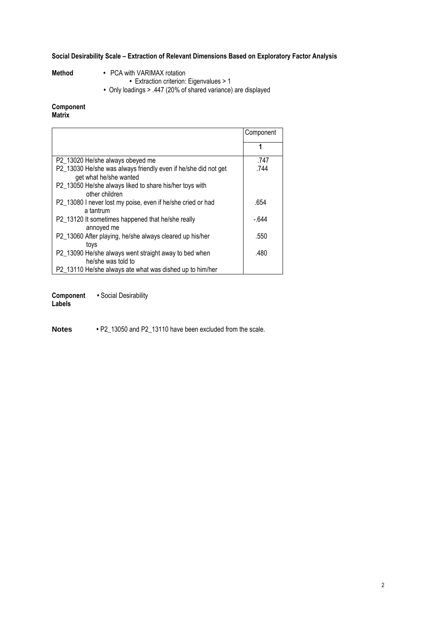### Social Desirability Scale – Extraction of Relevant Dimensions Based on Exploratory Factor Analysis

- Method PCA with VARIMAX rotation
	- Extraction criterion: Eigenvalues > 1
- Only loadings > .447 (20% of shared variance) are displayed

## Component

## Matrix

|                                                                                          | Component |
|------------------------------------------------------------------------------------------|-----------|
|                                                                                          | 1         |
| P2_13020 He/she always obeyed me                                                         | .747      |
| P2_13030 He/she was always friendly even if he/she did not get<br>get what he/she wanted | .744      |
| P2 13050 He/she always liked to share his/her toys with<br>other children                |           |
| P2_13080 I never lost my poise, even if he/she cried or had<br>a tantrum                 | .654      |
| P2_13120 It sometimes happened that he/she really<br>annoyed me                          | $-644$    |
| P2_13060 After playing, he/she always cleared up his/her<br>toys                         | .550      |
| P2_13090 He/she always went straight away to bed when<br>he/she was told to              | .480      |
| P2 13110 He/she always ate what was dished up to him/her                                 |           |

Component • Social Desirability

Labels

**Notes** • P2\_13050 and P2\_13110 have been excluded from the scale.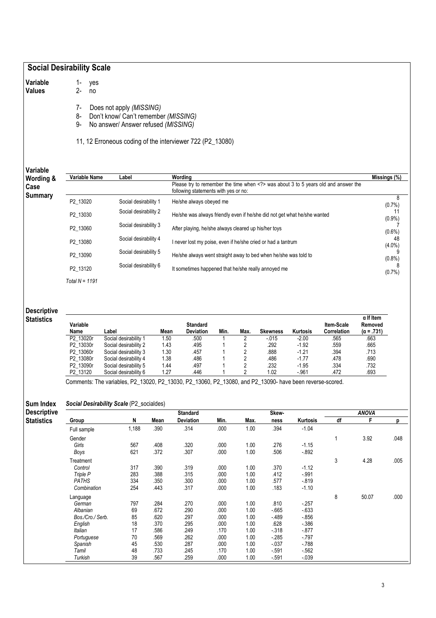### Social Desirability Scale

1- yes 2- no

Variable Values

7- Does not apply (MISSING)<br>8- Don't know/ Can't remembe

Don't know/ Can't remember (MISSING)

9- No answer/ Answer refused (MISSING)

11, 12 Erroneous coding of the interviewer 722 (P2\_13080)

Variable Wording &

Case Summary Variable Name Label Wording Missings (%) Please try to remember the time when <?> was about 3 to 5 years old and answer the following statements with yes or no: P2\_13020 Social desirability 1 He/she always obeyed me 8  $(0.7\%)$ <br>11 P2\_13030 Social desirability 2 He/she was always friendly even if he/she did not get what he/she wanted 11 (0.9%) P2\_13060 Social desirability 3 After playing, he/she always cleared up his/her toys 7  $(0.6\%)$ <br>48 P2\_13080 Social desirability 4 I never lost my poise, even if he/she cried or had a tantrum  $(4.0\%)$ ergently Social desirability 5 He/she always went straight away to bed when he/she was told to 9000 Social desirability 5  $(0.8\%)$ <br>8 P2\_13120 Social desirability 6 It sometimes happened that he/she really annoyed me (0.7%) Total  $N = 1191$ 

#### Descriptive **Statistics**

| Variable<br>Name | Label                 | Mean | <b>Standard</b><br><b>Deviation</b> | Min. | Max. | Skewness | <b>Kurtosis</b> | <b>Item-Scale</b><br>Correlation | $\alpha$ If Item<br>Removed<br>$(\alpha = .731)$ |
|------------------|-----------------------|------|-------------------------------------|------|------|----------|-----------------|----------------------------------|--------------------------------------------------|
| P2 13020r        | Social desirability 1 | 1.50 | .500                                |      |      | $-015$   | $-2.00$         | .565                             | .663                                             |
| P2 13030r        | Social desirability 2 | 1.43 | .495                                |      |      | .292     | $-1.92$         | .559                             | .665                                             |
| P2 13060r        | Social desirability 3 | 1.30 | .457                                |      |      | .888     | $-1.21$         | .394                             | .713                                             |
| P2 13080r        | Social desirability 4 | 1.38 | .486                                |      |      | .486     | $-1.77$         | .478                             | .690                                             |
| P2 13090r        | Social desirability 5 | 1.44 | .497                                |      |      | .232     | $-1.95$         | .334                             | .732                                             |
| P2 13120         | Social desirability 6 | 1.27 | .446                                |      |      | 1.02     | $-961$          | .472                             | .693                                             |

Comments: The variables, P2\_13020, P2\_13030, P2\_13060, P2\_13080, and P2\_13090- have been reverse-scored.

#### Sum Index Social Desirability Scale (P2\_socialdes)

| <b>Descriptive</b> |                  |       |      | <b>Standard</b>  |      |      | Skew-    |          |    | <b>ANOVA</b> |      |
|--------------------|------------------|-------|------|------------------|------|------|----------|----------|----|--------------|------|
| <b>Statistics</b>  | Group            | N     | Mean | <b>Deviation</b> | Min. | Max. | ness     | Kurtosis | df | F            | D    |
|                    | Full sample      | 1,188 | .390 | .314             | .000 | 1.00 | .394     | $-1.04$  |    |              |      |
|                    | Gender           |       |      |                  |      |      |          |          | 1  | 3.92         | .048 |
|                    | Girls            | 567   | .408 | .320             | .000 | 1.00 | .276     | $-1.15$  |    |              |      |
|                    | Boys             | 621   | .372 | .307             | .000 | 1.00 | .506     | $-892$   |    |              |      |
|                    | Treatment        |       |      |                  |      |      |          |          | 3  | 4.28         | .005 |
|                    | Control          | 317   | .390 | .319             | .000 | 1.00 | .370     | $-1.12$  |    |              |      |
|                    | Triple P         | 283   | .388 | .315             | .000 | 1.00 | .412     | $-.991$  |    |              |      |
|                    | <b>PATHS</b>     | 334   | .350 | .300             | .000 | 1.00 | .577     | $-819$   |    |              |      |
|                    | Combination      | 254   | .443 | .317             | .000 | 1.00 | .183     | $-1.10$  |    |              |      |
|                    | Language         |       |      |                  |      |      |          |          | 8  | 50.07        | .000 |
|                    | German           | 797   | .284 | .270             | .000 | 1.00 | .810     | $-257$   |    |              |      |
|                    | Albanian         | 69    | .672 | 290              | .000 | 1.00 | $-665$   | $-633$   |    |              |      |
|                    | Bos./Cro./ Serb. | 85    | .620 | .297             | .000 | 1.00 | $-489$   | $-856$   |    |              |      |
|                    | English          | 18    | .370 | 295              | .000 | 1.00 | .628     | $-386$   |    |              |      |
|                    | Italian          | 17    | .586 | .249             | .170 | 1.00 | $-318$   | $-877$   |    |              |      |
|                    | Portuguese       | 70    | .569 | 262              | .000 | 1.00 | $-285$   | $-797$   |    |              |      |
|                    | Spanish          | 45    | .530 | .287             | .000 | 1.00 | $-0.037$ | $-788$   |    |              |      |
|                    | Tamil            | 48    | .733 | .245             | .170 | 1.00 | $-591$   | $-562$   |    |              |      |
|                    | Turkish          | 39    | .567 | 259              | .000 | 1.00 | $-591$   | $-039$   |    |              |      |